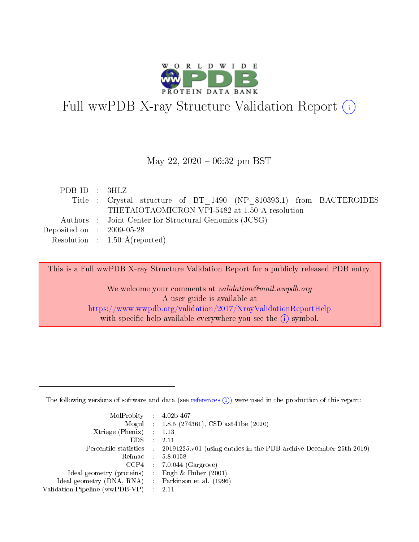

# Full wwPDB X-ray Structure Validation Report (i)

#### May 22,  $2020 - 06:32$  pm BST

| PDBID : 3HLZ                                                |                                                                     |
|-------------------------------------------------------------|---------------------------------------------------------------------|
|                                                             | Title : Crystal structure of BT 1490 (NP 810393.1) from BACTEROIDES |
|                                                             | THETAIOTAOMICRON VPI-5482 at 1.50 A resolution                      |
|                                                             | Authors : Joint Center for Structural Genomics (JCSG)               |
| $\rm Deposited\; on \quad : \quad 2009\text{-}05\text{-}28$ |                                                                     |
|                                                             | Resolution : $1.50 \text{ Å}$ (reported)                            |

This is a Full wwPDB X-ray Structure Validation Report for a publicly released PDB entry.

We welcome your comments at validation@mail.wwpdb.org A user guide is available at <https://www.wwpdb.org/validation/2017/XrayValidationReportHelp> with specific help available everywhere you see the  $(i)$  symbol.

The following versions of software and data (see [references](https://www.wwpdb.org/validation/2017/XrayValidationReportHelp#references)  $(1)$ ) were used in the production of this report:

| $MolProbability$ : 4.02b-467                        |                                                                                            |
|-----------------------------------------------------|--------------------------------------------------------------------------------------------|
|                                                     | Mogul : $1.8.5$ (274361), CSD as 541be (2020)                                              |
| Xtriage (Phenix) $: 1.13$                           |                                                                                            |
| EDS                                                 | -2.11                                                                                      |
|                                                     | Percentile statistics : 20191225.v01 (using entries in the PDB archive December 25th 2019) |
| Refmac 58.0158                                      |                                                                                            |
|                                                     | $CCP4$ 7.0.044 (Gargrove)                                                                  |
| Ideal geometry (proteins) : Engh $\&$ Huber (2001)  |                                                                                            |
| Ideal geometry (DNA, RNA) : Parkinson et al. (1996) |                                                                                            |
| Validation Pipeline (wwPDB-VP) : 2.11               |                                                                                            |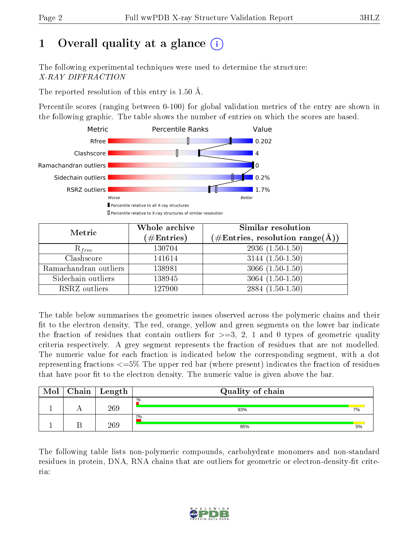# 1 [O](https://www.wwpdb.org/validation/2017/XrayValidationReportHelp#overall_quality)verall quality at a glance  $(i)$

The following experimental techniques were used to determine the structure: X-RAY DIFFRACTION

The reported resolution of this entry is 1.50 Å.

Percentile scores (ranging between 0-100) for global validation metrics of the entry are shown in the following graphic. The table shows the number of entries on which the scores are based.



| Metric                | Whole archive<br>$(\#\mathrm{Entries})$ | <b>Similar resolution</b><br>$(\#\text{Entries}, \, \text{resolution range}(\textup{\AA}))$ |
|-----------------------|-----------------------------------------|---------------------------------------------------------------------------------------------|
| $R_{free}$            | 130704                                  | $2936(1.50-1.50)$                                                                           |
| Clashscore            | 141614                                  | $3144(1.50-1.50)$                                                                           |
| Ramachandran outliers | 138981                                  | $3066(1.50-1.50)$                                                                           |
| Sidechain outliers    | 138945                                  | $3064(1.50-1.50)$                                                                           |
| RSRZ outliers         | 127900                                  | $2884(1.50-1.50)$                                                                           |

The table below summarises the geometric issues observed across the polymeric chains and their fit to the electron density. The red, orange, yellow and green segments on the lower bar indicate the fraction of residues that contain outliers for  $>=3, 2, 1$  and 0 types of geometric quality criteria respectively. A grey segment represents the fraction of residues that are not modelled. The numeric value for each fraction is indicated below the corresponding segment, with a dot representing fractions <=5% The upper red bar (where present) indicates the fraction of residues that have poor fit to the electron density. The numeric value is given above the bar.

| Mol | Chain | Length | Quality of chain     |    |  |  |
|-----|-------|--------|----------------------|----|--|--|
|     |       | 269    | $\frac{0}{0}$<br>93% | 7% |  |  |
|     |       | 269    | 2%<br>95%            | 5% |  |  |

The following table lists non-polymeric compounds, carbohydrate monomers and non-standard residues in protein, DNA, RNA chains that are outliers for geometric or electron-density-fit criteria:

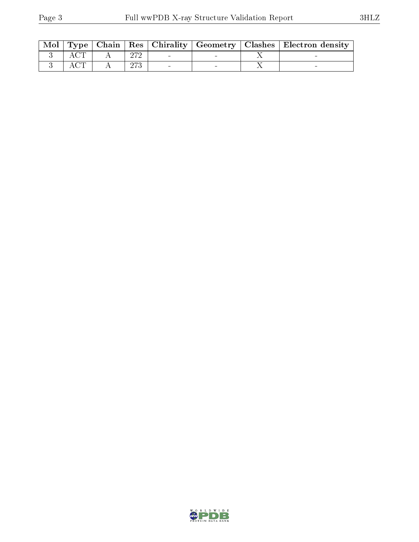| Mol |  |     |  | Type   Chain   Res   Chirality   Geometry   Clashes   Electron density |
|-----|--|-----|--|------------------------------------------------------------------------|
|     |  | חדה |  |                                                                        |
|     |  | תרח |  |                                                                        |

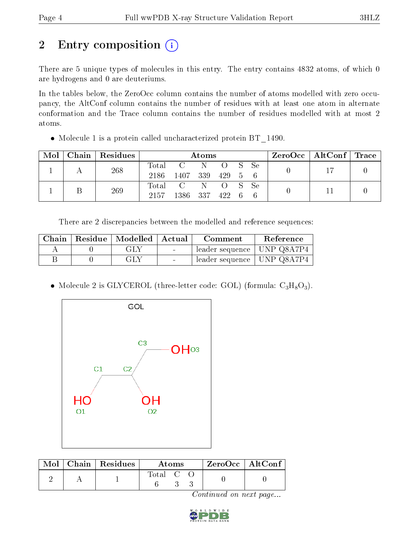# 2 Entry composition (i)

There are 5 unique types of molecules in this entry. The entry contains 4832 atoms, of which 0 are hydrogens and 0 are deuteriums.

In the tables below, the ZeroOcc column contains the number of atoms modelled with zero occupancy, the AltConf column contains the number of residues with at least one atom in alternate conformation and the Trace column contains the number of residues modelled with at most 2 atoms.

• Molecule 1 is a protein called uncharacterized protein BT 1490.

| Mol | Chain   Residues | Atoms         |                                    |  |  |  | $\text{ZeroOcc}$   AltConf   Trace |  |  |
|-----|------------------|---------------|------------------------------------|--|--|--|------------------------------------|--|--|
|     | 268              | Total<br>2186 | C N O S Se<br>1407 339 429 5 6     |  |  |  |                                    |  |  |
|     | 269              | 2157          | Total C N O S Se<br>1386 337 422 6 |  |  |  |                                    |  |  |

There are 2 discrepancies between the modelled and reference sequences:

| Chain | Residue   Modelled   Actual |                          | Comment                      | Reference |
|-------|-----------------------------|--------------------------|------------------------------|-----------|
|       | -GLY                        | <b>Contract Contract</b> | leader sequence   UNP Q8A7P4 |           |
|       | GLY                         |                          | leader sequence   UNP Q8A7P4 |           |

• Molecule 2 is GLYCEROL (three-letter code: GOL) (formula:  $C_3H_8O_3$ ).



|  | $\text{Mol}$   Chain   Residues | Atoms   |  |  | $ZeroOcc \mid AltConf$ |  |
|--|---------------------------------|---------|--|--|------------------------|--|
|  |                                 | Total C |  |  |                        |  |

Continued on next page...

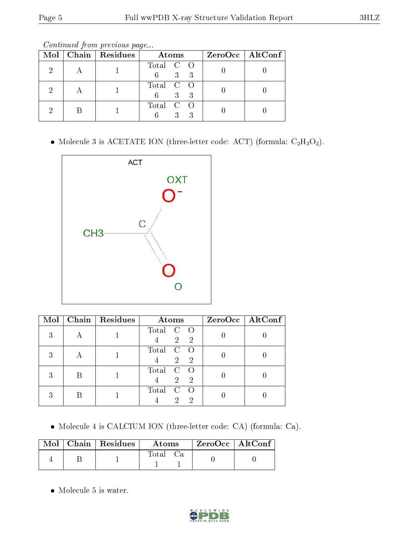Continued from previous page...

|  | Mol   Chain   Residues | Atoms                       | $ZeroOcc \   \$ AltConf |
|--|------------------------|-----------------------------|-------------------------|
|  |                        | Total C O<br>3 <sup>1</sup> |                         |
|  |                        | Total C O<br>$3^-$<br>6     |                         |
|  |                        | Total C O<br>3              |                         |

 $\bullet$  Molecule 3 is ACETATE ION (three-letter code: ACT) (formula:  $\rm{C_2H_3O_2}).$ 



| Mol | Chain Residues | Atoms                                                    | ZeroOcc   AltConf |
|-----|----------------|----------------------------------------------------------|-------------------|
| 3   |                | Total C<br>- 0<br>$\overline{2}$<br>$\mathbf{2}$         |                   |
| 3   |                | Total<br>$\mathbf C$<br>$\overline{2}$<br>$\overline{2}$ |                   |
| 3   |                | Total<br>$\mathcal{C}$<br>-2<br>$\overline{2}$           |                   |
|     |                | Total<br>$\mathcal{C}$<br>ച<br>റ                         |                   |

Molecule 4 is CALCIUM ION (three-letter code: CA) (formula: Ca).

|  | $\parallel$ Mol $\parallel$ Chain $\parallel$ Residues $\perp$ | Atoms    | ZeroOcc   AltConf |  |
|--|----------------------------------------------------------------|----------|-------------------|--|
|  |                                                                | Total Ca |                   |  |

Molecule 5 is water.

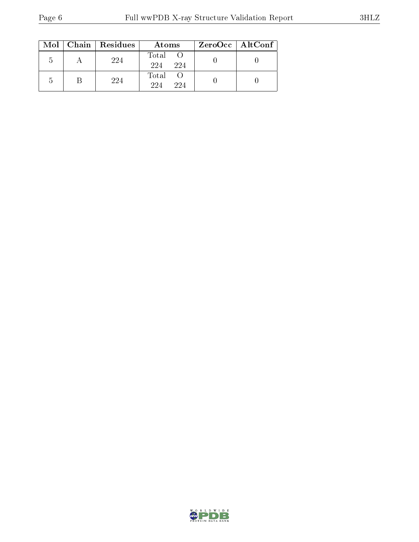|  | $Mol$   Chain   Residues | Atoms               | ZeroOcc   AltConf |
|--|--------------------------|---------------------|-------------------|
|  | 224                      | Total<br>224<br>224 |                   |
|  | 224                      | Total<br>224<br>224 |                   |

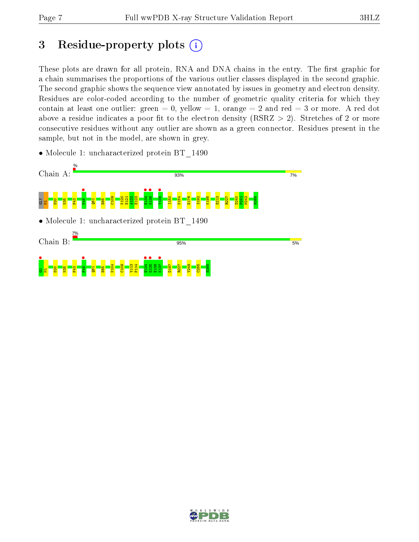# 3 Residue-property plots  $(i)$

These plots are drawn for all protein, RNA and DNA chains in the entry. The first graphic for a chain summarises the proportions of the various outlier classes displayed in the second graphic. The second graphic shows the sequence view annotated by issues in geometry and electron density. Residues are color-coded according to the number of geometric quality criteria for which they contain at least one outlier: green  $= 0$ , yellow  $= 1$ , orange  $= 2$  and red  $= 3$  or more. A red dot above a residue indicates a poor fit to the electron density (RSRZ  $> 2$ ). Stretches of 2 or more consecutive residues without any outlier are shown as a green connector. Residues present in the sample, but not in the model, are shown in grey.

• Molecule 1: uncharacterized protein BT 1490



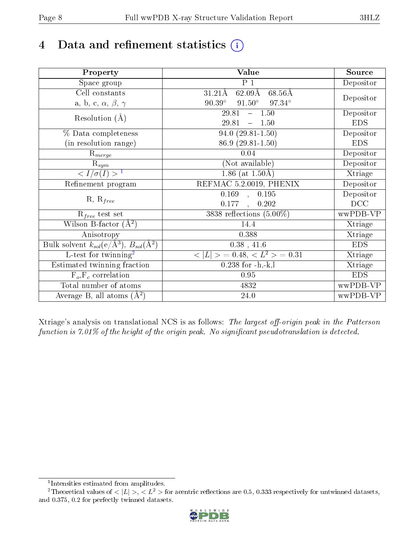# 4 Data and refinement statistics  $(i)$

| Property                                                             | Value                                                       | Source     |
|----------------------------------------------------------------------|-------------------------------------------------------------|------------|
| Space group                                                          | $P_1$                                                       | Depositor  |
| Cell constants                                                       | $62.09\text{\AA}$<br>$68.56\text{\AA}$<br>$31.21\text{\AA}$ |            |
| a, b, c, $\alpha$ , $\beta$ , $\gamma$                               | $90.39^\circ$<br>$91.50^\circ$<br>$97.34^{\circ}$           | Depositor  |
| Resolution $(A)$                                                     | 29.81<br>$-1.50$                                            | Depositor  |
|                                                                      | 29.81<br>$-1.50$                                            | <b>EDS</b> |
| % Data completeness                                                  | $94.0(29.81-1.50)$                                          | Depositor  |
| (in resolution range)                                                | 86.9 (29.81-1.50)                                           | <b>EDS</b> |
| $R_{merge}$                                                          | 0.04                                                        | Depositor  |
| $\mathrm{R}_{sym}$                                                   | (Not available)                                             | Depositor  |
| $\langle I/\sigma(I) \rangle$ <sup>1</sup>                           | 1.86 (at $1.50\text{\AA}$ )                                 | Xtriage    |
| Refinement program                                                   | REFMAC 5.2.0019, PHENIX                                     | Depositor  |
|                                                                      | $0.169$ , $0.195$                                           | Depositor  |
| $R, R_{free}$                                                        | 0.177<br>0.202<br>$\ddot{\phantom{a}}$                      | DCC        |
| $\mathcal{R}_{free}$ test set                                        | 3838 reflections $(5.00\%)$                                 | wwPDB-VP   |
| Wilson B-factor $(A^2)$                                              | 14.4                                                        | Xtriage    |
| Anisotropy                                                           | 0.388                                                       | Xtriage    |
| Bulk solvent $k_{sol}(e/\mathring{A}^3)$ , $B_{sol}(\mathring{A}^2)$ | $0.38$ , 41.6                                               | <b>EDS</b> |
| L-test for twinning <sup>2</sup>                                     | $< L >$ = 0.48, $< L2$ = 0.31                               | Xtriage    |
| Estimated twinning fraction                                          | $0.238$ for $-h,-k,l$                                       | Xtriage    |
| $F_o, F_c$ correlation                                               | 0.95                                                        | <b>EDS</b> |
| Total number of atoms                                                | 4832                                                        | wwPDB-VP   |
| Average B, all atoms $(A^2)$                                         | 24.0                                                        | wwPDB-VP   |

Xtriage's analysis on translational NCS is as follows: The largest off-origin peak in the Patterson function is  $7.01\%$  of the height of the origin peak. No significant pseudotranslation is detected.

<sup>&</sup>lt;sup>2</sup>Theoretical values of  $\langle |L| \rangle$ ,  $\langle L^2 \rangle$  for acentric reflections are 0.5, 0.333 respectively for untwinned datasets, and 0.375, 0.2 for perfectly twinned datasets.



<span id="page-7-1"></span><span id="page-7-0"></span><sup>1</sup> Intensities estimated from amplitudes.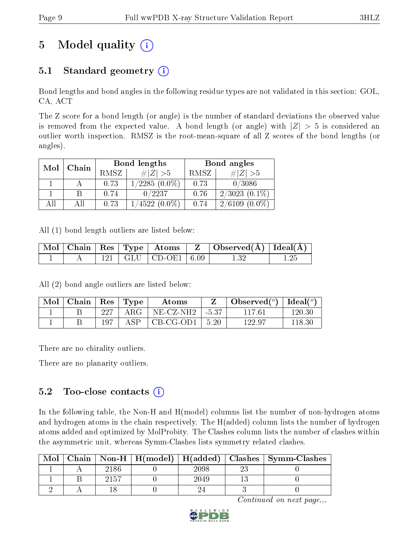# 5 Model quality  $(i)$

## 5.1 Standard geometry  $(i)$

Bond lengths and bond angles in the following residue types are not validated in this section: GOL, CA, ACT

The Z score for a bond length (or angle) is the number of standard deviations the observed value is removed from the expected value. A bond length (or angle) with  $|Z| > 5$  is considered an outlier worth inspection. RMSZ is the root-mean-square of all Z scores of the bond lengths (or angles).

| Chain |  |      | Bond lengths    | Bond angles |                     |  |
|-------|--|------|-----------------|-------------|---------------------|--|
| Mol   |  | RMSZ | # Z  > 5        | RMSZ        | $\# Z >5$           |  |
|       |  | 0.73 | $1/2285(0.0\%)$ | 0.73        | 0/3086              |  |
|       |  | 0.74 | 0/2237          | 0.76        | $2/3023(0.1\%)$     |  |
| AH    |  | 0.73 | $1/4522(0.0\%)$ | 0.74        | $(0.0\%)$<br>2/6109 |  |

All (1) bond length outliers are listed below:

|  |  |                             | $\mid$ Mol $\mid$ Chain $\mid$ Res $\mid$ Type $\mid$ Atoms $\mid$ Z $\mid$ Observed(Å) $\mid$ Ideal(Å) $\mid$ |  |
|--|--|-----------------------------|----------------------------------------------------------------------------------------------------------------|--|
|  |  | $121$   GLU   CD-OE1   6.09 |                                                                                                                |  |

All (2) bond angle outliers are listed below:

| $\text{Mol}$ | ' Chain |     | $\vert$ Res $\vert$ Type | A toms                         | Observed( $^{\circ}$ )   Ideal( $^{\circ}$ ) |        |
|--------------|---------|-----|--------------------------|--------------------------------|----------------------------------------------|--------|
|              |         | 227 | $\rm{ARG}^-$             | $NE- CZ-NH2$   $-5.37$         | 117.61                                       | 120.30 |
|              |         | 197 | A SP                     | $\vert$ CB-CG-OD1 $\vert$ 5.20 | 122.97                                       | 118.30 |

There are no chirality outliers.

There are no planarity outliers.

### 5.2 Too-close contacts  $(i)$

In the following table, the Non-H and H(model) columns list the number of non-hydrogen atoms and hydrogen atoms in the chain respectively. The H(added) column lists the number of hydrogen atoms added and optimized by MolProbity. The Clashes column lists the number of clashes within the asymmetric unit, whereas Symm-Clashes lists symmetry related clashes.

| Mol |      |          | $\text{Chain}$   Non-H   H(model)   H(added)   Clashes   Symm-Clashes |
|-----|------|----------|-----------------------------------------------------------------------|
|     | 2186 | $2098\,$ |                                                                       |
|     | 2157 | 2049     |                                                                       |
|     |      |          |                                                                       |

Continued on next page...

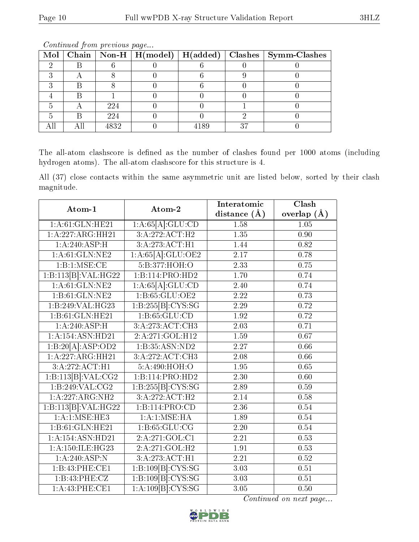| Mol |      |      |    | Chain   Non-H   H(model)   H(added)   Clashes   Symm-Clashes |
|-----|------|------|----|--------------------------------------------------------------|
|     |      |      |    |                                                              |
|     |      |      |    |                                                              |
|     |      |      |    |                                                              |
|     |      |      |    |                                                              |
|     | 224  |      |    |                                                              |
|     | 224  |      |    |                                                              |
|     | 4832 | 4189 | 27 |                                                              |

Continued from previous page...

The all-atom clashscore is defined as the number of clashes found per 1000 atoms (including hydrogen atoms). The all-atom clashscore for this structure is 4.

All (37) close contacts within the same asymmetric unit are listed below, sorted by their clash magnitude.

| Atom-1               | Atom-2                      | Interatomic       | Clash             |  |
|----------------------|-----------------------------|-------------------|-------------------|--|
|                      |                             | distance $(A)$    | overlap $(\AA)$   |  |
| 1:A:61:GLN:HE21      | 1:A:65[A]:GLU:CD            | 1.58              | 1.05              |  |
| 1:A:227:ARG:HH21     | $3:\overline{A:272:ACT:H2}$ | 1.35              | 0.90              |  |
| 1: A:240:ASP:H       | 3:A:273:ACT:H1              | 1.44              | 0.82              |  |
| 1: A:61: GLN: NE2    | 1:A:65[A]:GLU:OE2           | 2.17              | 0.78              |  |
| 1:B:1:MSE:CE         | 5:B:377:HOH:O               | 2.33              | 0.75              |  |
| 1:B:113[B]:VAL:HG22  | 1:B:114:PRO:HD2             | 1.70              | 0.74              |  |
| 1: A:61: GLN: NE2    | 1:A:65[A]:GLU:CD            | 2.40              | 0.74              |  |
| 1:B:61:GLN:NE2       | 1: B:65: GLU:OE2            | 2.22              | 0.73              |  |
| 1:B:249:VAL:HG23     | 1:B:255[B]:CYS:SG           | 2.29              | $0.72\,$          |  |
| 1:B:61:GLN:HE21      | 1: B:65:GLU:CD              | $\overline{1.92}$ | 0.72              |  |
| 1: A:240:ASP:H       | 3:A:273:ACT:CH3             | 2.03              | 0.71              |  |
| 1:A:154:ASN:HD21     | 2:A:271:GOL:H12             | 1.59              | $\overline{0.67}$ |  |
| 1:B:20[A].ASP:OD2    | 1:B:35:ASN:ND2              | 2.27              | 0.66              |  |
| 1:A:227:ARG:HH21     | 3:A:272:ACT:CH3             | 2.08              | 0.66              |  |
| 3:A:272:ACT:H1       | 5: A:490:HOH:O              | $\overline{1.95}$ | 0.65              |  |
| 1:B:113[B]:VAL:CG2   | 1:B:114:PRO:HD2             | 2.30              | 0.60              |  |
| 1:B:249:VAL:CG2      | 1:B:255[B]:CYS:SG           | 2.89              | 0.59              |  |
| 1:A:227:ARG:NH2      | 3:A:272:ACT:H2              | 2.14              | 0.58              |  |
| 1:B:113[B]:VAL:HG22  | 1:B:114:PRO:CD              | 2.36              | 0.54              |  |
| 1:A:1:MSE:HE3        | 1:A:1:MSE:HA                | 1.89              | 0.54              |  |
| 1:B:61:GLN:HE21      | 1: B:65: GLU:CG             | $\overline{2}.20$ | 0.54              |  |
| 1:A:154:ASN:HD21     | 2:A:271:GOL:Cl              | 2.21              | 0.53              |  |
| 1: A: 150: ILE: HG23 | 2:A:271:GOL:H2              | 1.91              | 0.53              |  |
| 1: A:240:ASP:N       | $3:A:273:\overline{ACT:H1}$ | 2.21              | 0.52              |  |
| 1:B:43:PHE:CE1       | 1:B:109[B]:CYS:SG           | $\overline{3}.03$ | 0.51              |  |
| 1:B:43:PHE:CZ        | 1:B:109[B]:CYS:SG           | 3.03              | 0.51              |  |
| 1:A:43:PHE:CE1       | 1:A:109[B]:CYS:SG           | 3.05              | 0.50              |  |

Continued on next page...

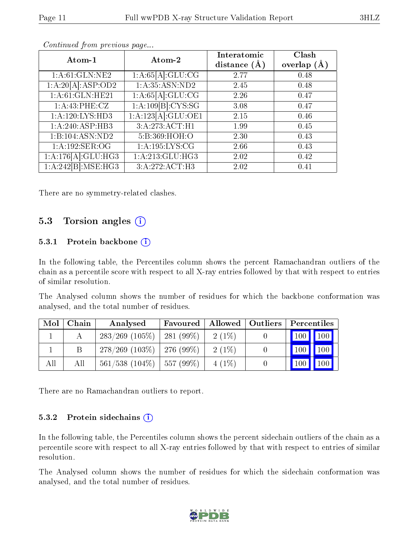| Atom-1                       | Atom-2             | Interatomic<br>distance $(A)$ | Clash<br>overlap $(A)$ |
|------------------------------|--------------------|-------------------------------|------------------------|
| 1:A:61:GLN:NE2               | 1:A:65[A]:GLU:CG   | 2.77                          | 0.48                   |
| 1:A:20[A]:ASP:OD2            | 1: A:35: ASN:ND2   | 2.45                          | 0.48                   |
| 1:A:61:GLN:HE21              | 1:A:65[A]:GLU:CG   | 2.26                          | 0.47                   |
| 1: A:43:PHE: CZ              | 1:A:109[B]:CYS:SG  | 3.08                          | 0.47                   |
| 1:A:120:LYS:HD3              | 1:A:123[A]:GLU:OE1 | 2.15                          | 0.46                   |
| $1:A:240:ASP:H\overline{B3}$ | 3:A:273:ACT:H1     | 1.99                          | 0.45                   |
| 1:B:104:ASN:ND2              | 5:B:369:HOH:O      | 2.30                          | 0.43                   |
| 1:A:192:SER:OG               | 1: A: 195: LYS: CG | 2.66                          | 0.43                   |
| 1:A:176[A]:GLU:HG3           | 1: A:213: GLU:HG3  | 2.02                          | 0.42                   |
| 1:A:242[B]:MSE:HG3           | 3:A:272:ACT:H3     | 2.02                          | 0.41                   |

Continued from previous page...

There are no symmetry-related clashes.

### 5.3 Torsion angles (i)

#### 5.3.1 Protein backbone  $(i)$

In the following table, the Percentiles column shows the percent Ramachandran outliers of the chain as a percentile score with respect to all X-ray entries followed by that with respect to entries of similar resolution.

The Analysed column shows the number of residues for which the backbone conformation was analysed, and the total number of residues.

| Mol | Chain | Analysed                           | <b>Favoured</b> | $\mid$ Allowed $\mid$ Outliers | Percentiles                                        |
|-----|-------|------------------------------------|-----------------|--------------------------------|----------------------------------------------------|
|     |       | $283/269$ (105\%)                  | $1281(99\%)$    | $2(1\%)$                       | $\boxed{100}$<br>$\blacksquare$ 100 $\blacksquare$ |
|     |       | $278/269$ (103\%)   276 (99\%)     |                 | $2(1\%)$                       | 100 <sup>1</sup>                                   |
| All | All   | $561/538$ $(104\%)$   557 $(99\%)$ |                 | $4(1\%)$                       | 100 <sup>1</sup>                                   |

There are no Ramachandran outliers to report.

#### 5.3.2 Protein sidechains (i)

In the following table, the Percentiles column shows the percent sidechain outliers of the chain as a percentile score with respect to all X-ray entries followed by that with respect to entries of similar resolution.

The Analysed column shows the number of residues for which the sidechain conformation was analysed, and the total number of residues.

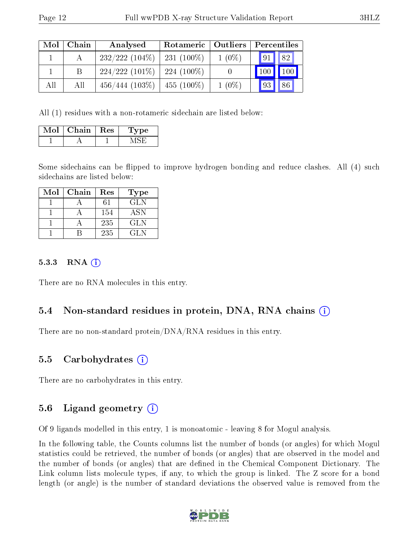| Mol | Chain | Analysed          | Rotameric   Outliers |          | Percentiles            |     |
|-----|-------|-------------------|----------------------|----------|------------------------|-----|
|     |       | $232/222(104\%)$  | $231(100\%)$         | $1(0\%)$ | $\vert 91 \vert \vert$ | 82  |
|     | B     | $224/222(101\%)$  | $224(100\%)$         |          | 100                    | 100 |
| All | All   | $456/444$ (103\%) | 455 $(100\%)$        | $1(0\%)$ | 93                     | 86  |

All (1) residues with a non-rotameric sidechain are listed below:

| $Mol$   Chain   Res | Type |
|---------------------|------|
|                     |      |

Some sidechains can be flipped to improve hydrogen bonding and reduce clashes. All (4) such sidechains are listed below:

| Mol | Chain | Res | <b>Type</b> |
|-----|-------|-----|-------------|
|     |       | 61  | GLN         |
|     |       | 154 | <b>ASN</b>  |
|     |       | 235 | <b>GLN</b>  |
|     |       | 235 | GL N        |

#### 5.3.3 RNA (i)

There are no RNA molecules in this entry.

### 5.4 Non-standard residues in protein, DNA, RNA chains (i)

There are no non-standard protein/DNA/RNA residues in this entry.

#### 5.5 Carbohydrates (i)

There are no carbohydrates in this entry.

#### 5.6 Ligand geometry (i)

Of 9 ligands modelled in this entry, 1 is monoatomic - leaving 8 for Mogul analysis.

In the following table, the Counts columns list the number of bonds (or angles) for which Mogul statistics could be retrieved, the number of bonds (or angles) that are observed in the model and the number of bonds (or angles) that are dened in the Chemical Component Dictionary. The Link column lists molecule types, if any, to which the group is linked. The Z score for a bond length (or angle) is the number of standard deviations the observed value is removed from the

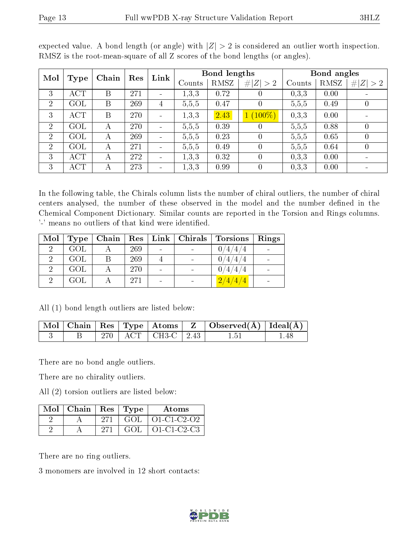| Mol<br>Chain<br>Type |                  |   |     | Res            |        | Link |             | Bond lengths |             |                | Bond angles |  |  |
|----------------------|------------------|---|-----|----------------|--------|------|-------------|--------------|-------------|----------------|-------------|--|--|
|                      |                  |   |     |                | Counts | RMSZ | # $ Z  > 2$ | Counts       | <b>RMSZ</b> | Z >2<br>#      |             |  |  |
| 3                    | $\overline{ACT}$ | Β | 271 | $\blacksquare$ | 1,3,3  | 0.72 |             | 0,3,3        | 0.00        |                |             |  |  |
| 2                    | GOL              | B | 269 | 4              | 5,5,5  | 0.47 |             | 5,5,5        | 0.49        | $\overline{0}$ |             |  |  |
| 3                    | <b>ACT</b>       | B | 270 |                | 1,3,3  | 2.43 | $(100\%)$   | 0,3,3        | 0.00        |                |             |  |  |
| $\overline{2}$       | GOL              | А | 270 |                | 5,5,5  | 0.39 |             | 5,5,5        | 0.88        | $\theta$       |             |  |  |
| $\overline{2}$       | GOL              | А | 269 |                | 5,5,5  | 0.23 |             | 5,5,5        | 0.65        | $\theta$       |             |  |  |
| 2                    | GOL              | А | 271 |                | 5,5,5  | 0.49 |             | 5,5,5        | 0.64        | $\overline{0}$ |             |  |  |
| 3                    | ACT              | А | 272 |                | 1,3,3  | 0.32 |             | 0.3.3        | 0.00        |                |             |  |  |
| 3                    | ACT              |   | 273 |                | 1,3,3  | 0.99 |             | 0,3,3        | 0.00        |                |             |  |  |

expected value. A bond length (or angle) with  $|Z| > 2$  is considered an outlier worth inspection. RMSZ is the root-mean-square of all Z scores of the bond lengths (or angles).

In the following table, the Chirals column lists the number of chiral outliers, the number of chiral centers analysed, the number of these observed in the model and the number defined in the Chemical Component Dictionary. Similar counts are reported in the Torsion and Rings columns. '-' means no outliers of that kind were identified.

| $\text{Mol}$ | Type | Chain | $\operatorname{Res}$ | $\mid$ Link $\mid$ Chirals $\mid$ | Torsions         | Rings |
|--------------|------|-------|----------------------|-----------------------------------|------------------|-------|
|              | GOL  |       | 269                  |                                   | 0/4/4/4          |       |
| $\Omega$     | GOL  | B     | 269                  |                                   | $\left 4\right $ |       |
|              | GOL  |       | 270                  |                                   | 0/4/4/4          |       |
|              | GOL  |       | 271                  |                                   | 2/4/4/4          |       |

All (1) bond length outliers are listed below:

|  |  |                          | $\mid$ Mol $\mid$ Chain $\mid$ Res $\mid$ Type $\mid$ Atoms $\mid$ Z $\mid$ Observed(A) $\mid$ Ideal(A) $\mid$ |      |
|--|--|--------------------------|----------------------------------------------------------------------------------------------------------------|------|
|  |  | 270   ACT   CH3-C   2.43 | 1.51                                                                                                           | 1.48 |

There are no bond angle outliers.

There are no chirality outliers.

All (2) torsion outliers are listed below:

| $Mol$   Chain   Res   Type |        |         | Atoms                           |
|----------------------------|--------|---------|---------------------------------|
|                            | $-271$ |         | $\vert$ GOL $\vert$ O1-C1-C2-O2 |
|                            | 271    | - GOL - | O1-C1-C2-C3                     |

There are no ring outliers.

3 monomers are involved in 12 short contacts:

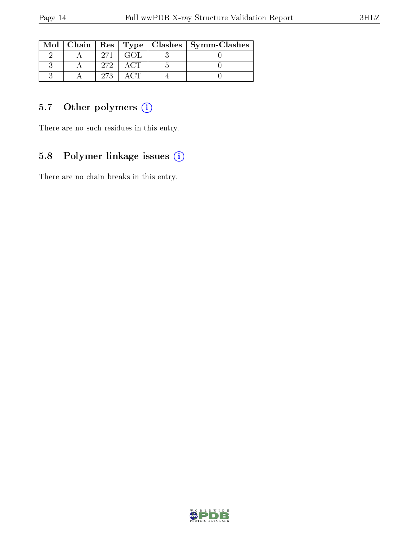|  |     |  | Mol   Chain   Res   Type   Clashes   Symm-Clashes |
|--|-----|--|---------------------------------------------------|
|  |     |  |                                                   |
|  | 979 |  |                                                   |
|  | 273 |  |                                                   |

## 5.7 [O](https://www.wwpdb.org/validation/2017/XrayValidationReportHelp#nonstandard_residues_and_ligands)ther polymers (i)

There are no such residues in this entry.

## 5.8 Polymer linkage issues (i)

There are no chain breaks in this entry.

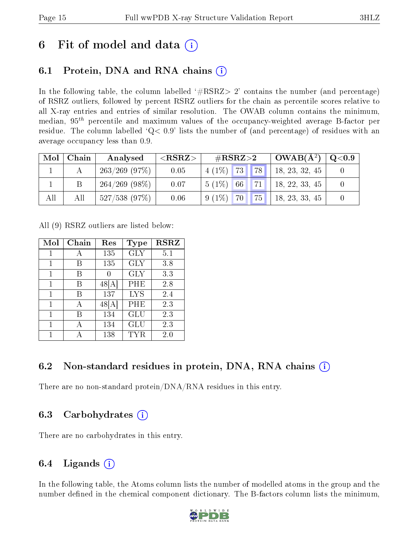## 6 Fit of model and data  $(i)$

## 6.1 Protein, DNA and RNA chains (i)

In the following table, the column labelled  $#RSRZ>2'$  contains the number (and percentage) of RSRZ outliers, followed by percent RSRZ outliers for the chain as percentile scores relative to all X-ray entries and entries of similar resolution. The OWAB column contains the minimum, median,  $95<sup>th</sup>$  percentile and maximum values of the occupancy-weighted average B-factor per residue. The column labelled  $Q< 0.9$  lists the number of (and percentage) of residues with an average occupancy less than 0.9.

| Mol | Chain | Analysed         | ${ <\hspace{-1.5pt}{\mathrm{RSRZ}} \hspace{-1.5pt}>}$ | $\#\text{RSRZ}{>}2$         |             | $OWAB(A^2)$    | $\rm Q\textcolor{black}{<}0.9$ |
|-----|-------|------------------|-------------------------------------------------------|-----------------------------|-------------|----------------|--------------------------------|
|     |       | $263/269$ (97\%) | 0.05                                                  | 73 <br>$4(1\%)$             | <b>78</b>   | 18, 23, 32, 45 |                                |
|     |       | $264/269$ (98\%) | 0.07                                                  | $5(1\%)$ 66                 | 71          | 18, 22, 33, 45 |                                |
| All | All   | $527/538$ (97%)  | 0.06                                                  | $9(1\%)$<br>70 <sub>1</sub> | $\sqrt{75}$ | 18, 23, 33, 45 |                                |

All (9) RSRZ outliers are listed below:

| Mol | Chain | Res  | Type       | <b>RSRZ</b> |
|-----|-------|------|------------|-------------|
| 1   | А     | 135  | <b>GLY</b> | 5.1         |
|     | В     | 135  | <b>GLY</b> | 3.8         |
| 1   | В     |      | <b>GLY</b> | 3.3         |
| 1   | В     | 48 A | PHE        | 2.8         |
| 1   | В     | 137  | <b>LYS</b> | 2.4         |
| 1   | А     | 48[A | PHE        | 2.3         |
|     | В     | 134  | GLU        | 2.3         |
| 1   | А     | 134  | GLU        | 2.3         |
|     |       | 138  | TYR        | $2.0\,$     |

### 6.2 Non-standard residues in protein, DNA, RNA chains  $(i)$

There are no non-standard protein/DNA/RNA residues in this entry.

### 6.3 Carbohydrates (i)

There are no carbohydrates in this entry.

## 6.4 Ligands  $(i)$

In the following table, the Atoms column lists the number of modelled atoms in the group and the number defined in the chemical component dictionary. The B-factors column lists the minimum,